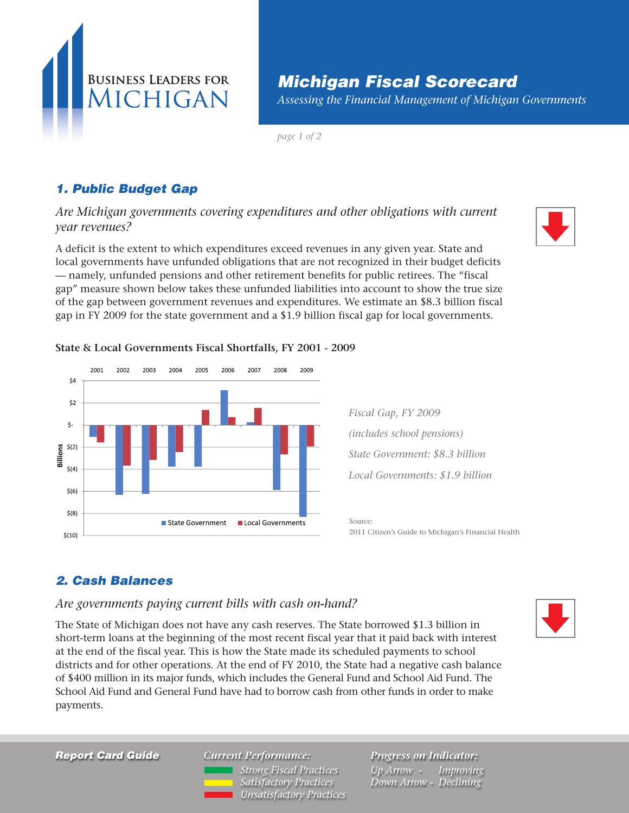

# *Michigan Fiscal Scorecard*

*Assessing the Financial Management of Michigan Governments*

*page 1 of 2*

## *1. Public Budget Gap*

*Are Michigan governments covering expenditures and other obligations with current year revenues?*

A deficit is the extent to which expenditures exceed revenues in any given year. State and local governments have unfunded obligations that are not recognized in their budget deficits — namely, unfunded pensions and other retirement benefits for public retirees. The "fiscal gap" measure shown below takes these unfunded liabilities into account to show the true size of the gap between government revenues and expenditures. We estimate an \$8.3 billion fiscal gap in FY 2009 for the state government and a \$1.9 billion fiscal gap for local governments.

#### **State & Local Governments Fiscal Shortfalls, FY 2001 - 2009**



*Fiscal Gap, FY 2009 (includes school pensions) State Government: \$8.3 billion Local Governments: \$1.9 billion*

Source: 2011 Citizen's Guide to Michigan's Financial Health

### *2. Cash Balances*

#### *Are governments paying current bills with cash on***-***hand?*

The State of Michigan does not have any cash reserves. The State borrowed \$1.3 billion in short-term loans at the beginning of the most recent fiscal year that it paid back with interest at the end of the fiscal year. This is how the State made its scheduled payments to school districts and for other operations. At the end of FY 2010, the State had a negative cash balance of \$400 million in its major funds, which includes the General Fund and School Aid Fund. The School Aid Fund and General Fund have had to borrow cash from other funds in order to make payments.

*Report Card Guide*

*Current Performance: Exceeded benchmark Strong Fiscal Practices Achieved benchmark Satisfactory Practices Missed benchmark Unsatisfactory Practices* *Progress on Indicator: Up Arrow - Improving Down Arrow - Declining*